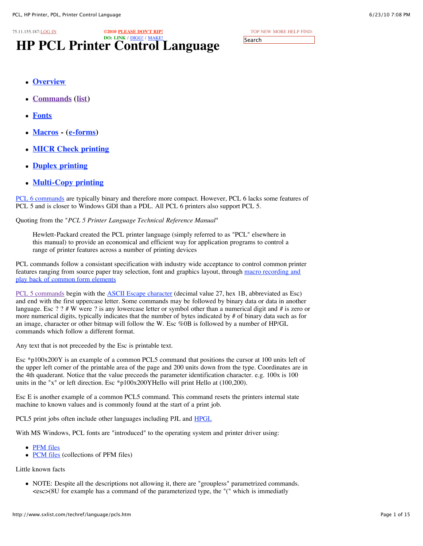| 6/23/10 7:08 PM |  |  |
|-----------------|--|--|
|-----------------|--|--|

[TOP](http://www.sxlist.com/techref/index.htm) [NEW](http://www.sxlist.com/techref/language/new201006.txt) [MORE](http://www.sxlist.com/techref/postsearch.asp?from=%2Ftechref%2Flanguage%2Fpcls%2Ehtm) [HELP](mailto:webmaster@sxlist.com?subject=I%20need%20someone%20to%20help%20me%20with%3A%20) [FIND:](http://www.sxlist.com/techref/postsearch.asp) **Search** 

- **[Overview](http://www.sxlist.com/techref/language/pcl/pcl5over.htm)**
- **[Commands](http://www.sxlist.com/techref/language/pcl/index.htm) ([list](http://www.sxlist.com/techref/language/pcl/decoded.htm))**
- **[Fonts](http://www.sxlist.com/techref/language/pcl/fonts.htm)**
- **[Macros](http://www.sxlist.com/techref/language/pcl/efpint.htm) - ([e-forms\)](http://www.sxlist.com/techref/language/pcl/eforms.htm)**
- **MICR Check [printing](http://www.sxlist.com/techref/language/pcl/micr.htm)**
- **Duplex [printing](http://www.sxlist.com/techref/language/pcl/duplex.htm)**
- **[Multi-Copy](http://www.sxlist.com/techref/language/pcl/multicpy.htm) printing**

[PCL 6 commands](http://www.sxlist.com/techref/language/pcl/6.htm) are typically binary and therefore more compact. However, PCL 6 lacks some features of PCL 5 and is closer to Windows GDI than a PDL. All PCL 6 printers also support PCL 5.

Quoting from the "*PCL 5 Printer Language Technical Reference Manual*"

Hewlett-Packard created the PCL printer language (simply referred to as "PCL" elsewhere in this manual) to provide an economical and efficient way for application programs to control a range of printer features across a number of printing devices

PCL commands follow a consistant specification with industry wide acceptance to control common printer [features ranging from source paper tray selection, font and graphics layout, through](http://www.sxlist.com/techref/language/pcl/efpint.htm) macro recording and play back of common form elements

[PCL 5 commands](http://www.sxlist.com/techref/language/pcl/index.htm) begin with the [ASCII Escape character](http://www.sxlist.com/techref/language/pcl/escchr.htm) (decimal value 27, hex 1B, abbreviated as Esc) and end with the first uppercase letter. Some commands may be followed by binary data or data in another language. Esc ? ? # W were ? is any lowercase letter or symbol other than a numerical digit and # is zero or more numerical digits, typically indicates that the number of bytes indicated by # of binary data such as for an image, character or other bitmap will follow the W. Esc %0B is followed by a number of HP/GL commands which follow a different format.

Any text that is not preceeded by the Esc is printable text.

Esc \*p100x200Y is an example of a common PCL5 command that positions the cursor at 100 units left of the upper left corner of the printable area of the page and 200 units down from the type. Coordinates are in the 4th quaderant. Notice that the value preceeds the parameter identification character. e.g. 100x is 100 units in the "x" or left direction. Esc \*p100x200YHello will print Hello at (100,200).

Esc E is another example of a common PCL5 command. This command resets the printers internal state machine to known values and is commonly found at the start of a print job.

PCL5 print jobs often include other languages including PJL and [HPGL](http://www.sxlist.com/techref/language/hpgl.htm)

With MS Windows, PCL fonts are "introduced" to the operating system and printer driver using:

- [PFM files](http://www.sxlist.com/techref/os/win/ddk/pfm.htm)
- [PCM files](http://www.sxlist.com/techref/os/win/ddk/pcm.htm) (collections of PFM files)

Little known facts

NOTE: Despite all the descriptions not allowing it, there are "groupless" parametrized commands.  $\langle \csc(8U) \rangle$  for example has a command of the parameterized type, the "(" which is immediatly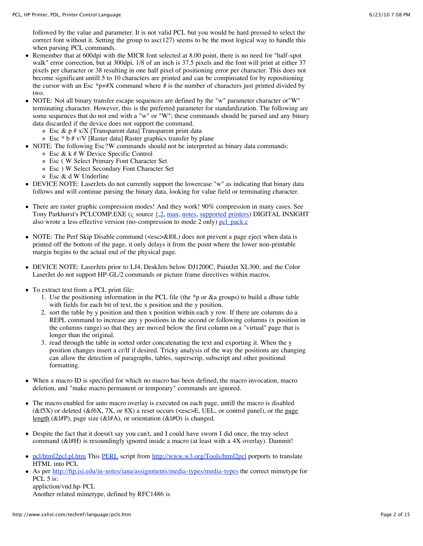followed by the value and parameter. It is not valid PCL but you would be hard pressed to select the correct font without it. Setting the group to asc $(127)$  seems to be the most logical way to handle this when parsing PCL commands.

- Remember that at 600dpi with the MICR font selected at 8.00 point, there is no need for "half-spot  $\bullet$ walk" error correction, but at 300 dpi,  $1/8$  of an inch is 37.5 pixels and the font will print at either 37 pixels per character or 38 resulting in one half pixel of positioning error per character. This does not become significant untill 5 to 10 characters are printed and can be compinsated for by repositioning the cursor with an Esc  $p+#X$  command where # is the number of characters just printed divided by two.
- NOTE: Not all binary transfer escape sequences are defined by the "w" parameter character or "W" terminating character. However, this is the preferred parameter for standardization. The following are some sequences that do not end with a "w" or "W"; these commands should be parsed and any binary data discarded if the device does not support the command.
	- $\circ$  Esc & p # x/X [Transparent data] Transparent print data
	- $\circ$  Esc  $*$  b # v/V [Raster data] Raster graphics transfer by plane
- NOTE: The following Esc?W commands should not be interpreted as binary data commands:
	- Esc & k # W Device Specific Control
		- Esc ( W Select Primary Font Character Set
		- Esc ) W Select Secondary Font Character Set
		- Esc & d W Underline
- DEVICE NOTE: LaserJets do not currently support the lowercase "w" as indicating that binary data follows and will continue parsing the binary data, looking for value field or terminating character.
- There are raster graphic compression modes! And they work! 90% compression in many cases. See Tony Parkhurst's PCLCOMP.EXE ( $\underline{c}$  $\underline{c}$  $\underline{c}$  source [1,](http://www.sxlist.com/techref/language/pcl/grphcomp/pclcomp.c)[2,](http://www.sxlist.com/techref/language/pcl/grphcomp/getopt.c) [man,](http://www.sxlist.com/techref/language/pcl/grphcomp/pclcompm.txt) [notes](http://www.sxlist.com/techref/language/pcl/grphcomp/pclcomp.txt), [supported](http://www.sxlist.com/techref/language/pcl/grphcomp/printer.txt) [printers\)](http://www.sxlist.com/techref/printers.htm) DIGITAL INSIGHT also wrote a less effective version (no-compression to mode 2 only) [pcl\\_pack.c](http://www.sxlist.com/techref/language/pcl/grphcomp/pcl_pack.c)
- NOTE: The Perf Skip Disable command (<esc>&l0L) does not prevent a page eject when data is printed off the bottom of the page, it only delays it from the point where the lower non-printable margin begins to the actual end of the physical page.
- DEVICE NOTE: LaserJets prior to LJ4, DeskJets below DJ1200C, PaintJet XL300, and the Color LaserJet do not support HP-GL/2 commands or picture frame directives within macros.
- To extract text from a PCL print file:
	- 1. Use the positioning information in the PCL file (the \*p or &a groups) to build a dbase table with fields for each bit of text, the x position and the y position.
	- 2. sort the table by y position and then x position within each y row. If there are columns do a REPL command to increase any y positions in the second or following columns (x position in the columns range) so that they are moved below the first column on a "virtual" page that is longer than the original.
	- 3. read through the table in sorted order concatenating the text and exporting it. When the y position changes insert a cr/lf if desired. Tricky analysis of the way the positions are changing can allow the detection of paragraphs, tables, superscrip, subscript and other positional formatting.
- When a macro ID is specified for which no macro has been defined, the macro invocation, macro deletion, and "make macro permanent or temporary" commands are ignored.
- The macro enabled for auto macro overlay is executed on each page, untill the macro is disabled  $(kf5X)$  or deleted  $(kf6X, 7X, or 8X)$  a reset occurs (<esc>E, UEL, or control panel), or the page length ( $&\sharp$ I#P), page size ( $&\sharp$ I#A), or orientation ( $&\sharp$ I#O) is changed.
- Despite the fact that it doesn't say you can't, and I could have sworn I did once, the tray select command (&l#H) is resoundingly ignored inside a macro (at least with a 4X overlay). Dammit!
- [pcl/html2pcl.pl.htm](http://www.sxlist.com/techref/language/pcl/html2pcl.pl.htm) This [PERL](http://www.sxlist.com/techref/language/perl/index.htm) script from <http://www.w3.org/Tools/html2pcl> porports to translate HTML into PCL
- As per <http://ftp.isi.edu/in-notes/iana/assignments/media-types/media-types> the correct mimetype for PCL 5 is:

appliction/vnd.hp-PCL Another related mimetype, defined by RFC1486 is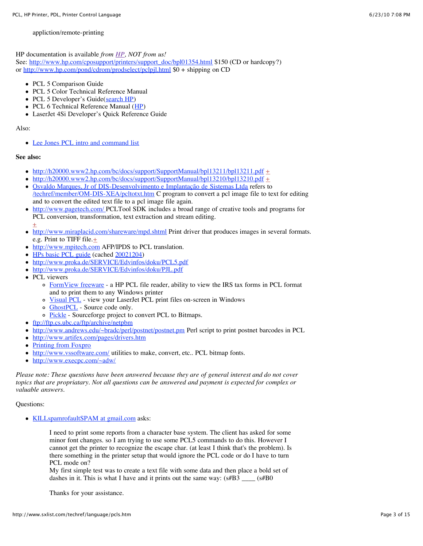appliction/remote-printing

HP documentation is available *from [HP,](http://www.hp.com/) NOT from us!*

See: [http://www.hp.com/cposupport/printers/support\\_doc/bpl01354.html](http://www.hp.com/cposupport/printers/support_doc/bpl01354.html) \$150 (CD or hardcopy?) or <http://www.hp.com/pond/cdrom/prodselect/pclpjl.html> $\overline{\$0 +$  shipping on CD

- PCL 5 Comparison Guide
- PCL 5 Color Technical Reference Manual
- PCL 5 Developer's Guide([search](http://search.hp.com/gwuseng/query.html?col=hpcom+ccen+ccenfor&la=en&qt=PCL+5+technical+reference+manual&submit.y=6&submit.x=10) HP)
- PCL 6 Technical Reference Manual ([HP\)](http://www.hpdevelopersolutions.com/downloads/64/358/xl_ref20r22.pdf)
- LaserJet 4Si Developer's Quick Reference Guide

### Also:

[Lee Jones PCL intro and command list](http://www.sxlist.com/techref/language/pcl/cmds-lj.htm)

# **See also:**

- $\bullet$  <http://h20000.www2.hp.com/bc/docs/support/SupportManual/bpl13211/bpl13211.pdf>  $\pm$
- $\bullet$  <http://h20000.www2.hp.com/bc/docs/support/SupportManual/bpl13210/bpl13210.pdf>  $\pm$
- $\bullet$ Osvaldo [Marques, Jr of DIS-Desenvolvimento e Implantação de Sistemas](http://www.sxlist.com/techref/member/OM-DIS-XEA/index.htm) Ltda refers to [/techref/member/OM-DIS-XEA/pcltotxt.htm](http://www.sxlist.com/techref/member/OM-DIS-XEA/pcltotxt.htm) C program to convert a pcl image file to text for editing and to convert the edited text file to a pcl image file again.
- $\bullet$ <http://www.pagetech.com/> PCLTool SDK includes a broad range of creative tools and programs for PCL conversion, transformation, text extraction and stream editing. [+](http://www.sxlist.com/techref/login/default.asp?req=/techref/update.asp%3Fact=reply%26url=/techref/language/pcls.htm%26id=38755.7369907407)
- <http://www.miraplacid.com/shareware/mpd.shtml>Print driver that produces images in several formats.  $\bullet$ e.g. Print to TIFF file. $\pm$
- [http://www.mpitech.com](http://www.mpitech.com/) AFP/IPDS to PCL translation.  $\bullet$
- HPs [basic PCL guide](http://www.hp.com/cgi-bin/cposupport/pf-new.cgi?IN=/cposupport/printers/support_doc/bpl05272.html) (cached [20021204\)](http://www.sxlist.com/techref/language/pcl/common.htm)
- <http://www.proka.de/SERVICE/Edvinfos/doku/PCL5.pdf>  $\bullet$
- <http://www.proka.de/SERVICE/Edvinfos/doku/PJL.pdf>
- PCL viewers  $\bullet$ 
	- [FormView freeware](http://www.pcltools.com/formview.htm)  a HP PCL file reader, ability to view the IRS tax forms in PCL format and to print them to any Windows printer
	- [Visual PCL](http://www.visual.co.uk/viewer.html)  view your LaserJet PCL print files on-screen in Windows
	- o **[GhostPCL](http://www.artifex.com/downloads/)** Source code only.
	- o [Pickle](http://sourceforge.net/projects/pickle/) Sourceforge project to convert PCL to Bitmaps.
- <ftp://ftp.cs.ubc.ca/ftp/archive/netpbm>
- <http://www.andrews.edu/~bradc/perl/postnet/postnet.pm> Perl script to print postnet barcodes in PCL
- <http://www.artifex.com/pages/drivers.htm>  $\bullet$
- [Printing from Foxpro](http://www.programatica.com/fpage5.shtml)  $\bullet$
- <http://www.vssoftware.com/>utilities to make, convert, etc.. PCL bitmap fonts.
- <http://www.execpc.com/~adw/>

*Please note: These questions have been answered because they are of general interest and do not cover topics that are propriatary. Not all questions can be answered and payment is expected for complex or valuable answers.*

Questions:

[KILLspamrofaultSPAM at gmail.com](mailto:KILLspamrofaultSPAM%20at%20gmail.com) asks:

I need to print some reports from a character base system. The client has asked for some minor font changes. so I am trying to use some PCL5 commands to do this. However I cannot get the printer to recognize the escape char. (at least I think that's the problem). Is there something in the printer setup that would ignore the PCL code or do I have to turn PCL mode on?

My first simple test was to create a text file with some data and then place a bold set of dashes in it. This is what I have and it prints out the same way:  $(s\#B3 \_ (s\#B0$ 

Thanks for your assistance.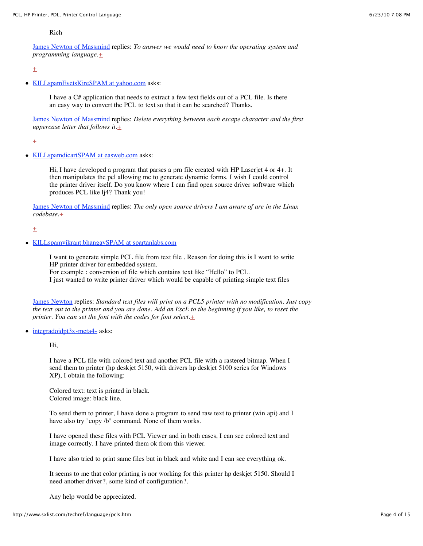Rich

James [Newton of Massmind](http://www.sxlist.com/techref/member/JMN-EFP-786/index.htm) replies: *To answer we would need to know the operating system and programming language.*[+](http://www.sxlist.com/techref/login/default.asp?req=/techref/update.asp%3Fact=reply%26url=/techref/language/pcls.htm%26id=40149.9113888889)

 $+$ 

• [KILLspamEvetsKireSPAM at yahoo.com](mailto:KILLspamEvetsKireSPAM%20at%20yahoo.com) asks:

I have a C# application that needs to extract a few text fields out of a PCL file. Is there an easy way to convert the PCL to text so that it can be searched? Thanks.

James [Newton of Massmind](http://www.sxlist.com/techref/member/JMN-EFP-786/index.htm) replies: *Delete everything between each escape character and the first uppercase letter that follows it.*[+](http://www.sxlist.com/techref/login/default.asp?req=/techref/update.asp%3Fact=reply%26url=/techref/language/pcls.htm%26id=39925.9721412037)

 $+$ 

• [KILLspamdicartSPAM at easweb.com](mailto:KILLspamdicartSPAM%20at%20easweb.com) asks:

Hi, I have developed a program that parses a prn file created with HP Laserjet 4 or 4+. It then manipulates the pcl allowing me to generate dynamic forms. I wish I could control the printer driver itself. Do you know where I can find open source driver software which produces PCL like lj4? Thank you!

James [Newton of Massmind](http://www.sxlist.com/techref/member/JMN-EFP-786/index.htm) replies: *The only open source drivers I am aware of are in the Linux codebase.*[+](http://www.sxlist.com/techref/login/default.asp?req=/techref/update.asp%3Fact=reply%26url=/techref/language/pcls.htm%26id=39863.5209143519)

 $\pm$ 

[KILLspamvikrant.bhangaySPAM at spartanlabs.com](mailto:KILLspamvikrant.bhangaySPAM%20at%20spartanlabs.com)

I want to generate simple PCL file from text file . Reason for doing this is I want to write HP printer driver for embedded system.

For example : conversion of file which contains text like "Hello" to PCL.

I just wanted to write printer driver which would be capable of printing simple text files

James [Newton](http://www.sxlist.com/techref/member/JMN-EFP-786/index.htm) replies: *Standard text files will print on a PCL5 printer with no modification. Just copy the text out to the printer and you are done. Add an EscE to the beginning if you like, to reset the printer. You can set the font with the codes for font select.* $\pm$ 

 $\bullet$  integradoidpt $3x$ -meta4- asks:

Hi,

I have a PCL file with colored text and another PCL file with a rastered bitmap. When I send them to printer (hp deskjet 5150, with drivers hp deskjet 5100 series for Windows XP), I obtain the following:

Colored text: text is printed in black. Colored image: black line.

To send them to printer, I have done a program to send raw text to printer (win api) and I have also try "copy /b" command. None of them works.

I have opened these files with PCL Viewer and in both cases, I can see colored text and image correctly. I have printed them ok from this viewer.

I have also tried to print same files but in black and white and I can see everything ok.

It seems to me that color printing is nor working for this printer hp deskjet 5150. Should I need another driver?, some kind of configuration?.

Any help would be appreciated.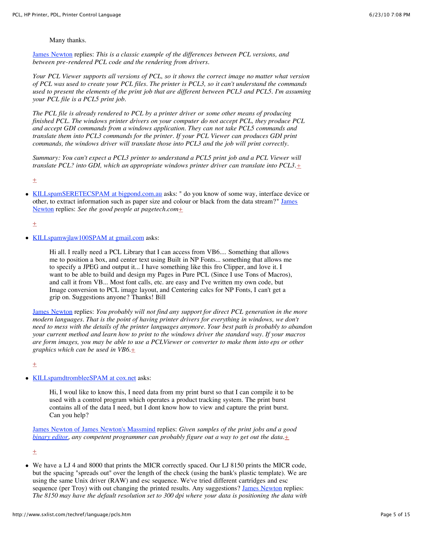# Many thanks.

James [Newton](http://www.sxlist.com/techref/member/JMN-EFP-786/index.htm) replies: *This is a classic example of the differences between PCL versions, and between pre-rendered PCL code and the rendering from drivers.*

*Your PCL Viewer supports all versions of PCL, so it shows the correct image no matter what version of PCL was used to create your PCL files. The printer is PCL3, so it can't understand the commands used to present the elements of the print job that are different between PCL3 and PCL5. I'm assuming your PCL file is a PCL5 print job.*

*The PCL file is already rendered to PCL by a printer driver or some other means of producing finished PCL. The windows printer drivers on your computer do not accept PCL, they produce PCL and accept GDI commands from a windows application. They can not take PCL5 commands and translate them into PCL3 commands for the printer. If your PCL Viewer can produces GDI print commands, the windows driver will translate those into PCL3 and the job will print correctly.*

*Summary: You can't expect a PCL3 printer to understand a PCL5 print job and a PCL Viewer will translate PCL? into GDI, which an appropriate windows printer driver can translate into PCL3[.+](http://www.sxlist.com/techref/login/default.asp?req=/techref/update.asp%3Fact=reply%26url=/techref/language/pcls.htm%26id=39826.4458912037)*

 $\pm$ 

• [KILLspamSERETECSPAM at bigpond.com.au](mailto:KILLspamSERETECSPAM%20at%20bigpond.com.au) asks: " do you know of some way, interface device or [other, to extract information such as paper size and colour or](http://www.sxlist.com/techref/member/JMN-EFP-786/index.htm) black from the data stream?" James Newton replies: *See the good people at pagetech.com*[+](http://www.sxlist.com/techref/login/default.asp?req=/techref/update.asp%3Fact=reply%26url=/techref/language/pcls.htm%26id=39324.4313657407)

 $\pm$ 

• [KILLspamwjlaw100SPAM at gmail.com](mailto:KILLspamwjlaw100SPAM%20at%20gmail.com) asks:

Hi all. I really need a PCL Library that I can access from VB6.... Something that allows me to position a box, and center text using Built in NP Fonts... something that allows me to specify a JPEG and output it... I have something like this fro Clipper, and love it. I want to be able to build and design my Pages in Pure PCL (Since I use Tons of Macros), and call it from VB... Most font calls, etc. are easy and I've written my own code, but Image conversion to PCL image layout, and Centering calcs for NP Fonts, I can't get a grip on. Suggestions anyone? Thanks! Bill

James [Newton](http://www.sxlist.com/techref/member/JMN-EFP-786/index.htm) replies: *You probably will not find any support for direct PCL generation in the more modern languages. That is the point of having printer drivers for everything in windows, we don't need to mess with the details of the printer languages anymore. Your best path is probably to abandon your current method and learn how to print to the windows driver the standard way. If your macros are form images, you may be able to use a PCLViewer or converter to make them into eps or other graphics which can be used in VB6.*[+](http://www.sxlist.com/techref/login/default.asp?req=/techref/update.asp%3Fact=reply%26url=/techref/language/pcls.htm%26id=39826.4493518519)

 $\pm$ 

• [KILLspamdtrombleeSPAM at cox.net](mailto:KILLspamdtrombleeSPAM%20at%20cox.net) asks:

Hi, I woul like to know this, I need data from my print burst so that I can compile it to be used with a control program which operates a product tracking system. The print burst contains all of the data I need, but I dont know how to view and capture the print burst. Can you help?

James [Newton of James Newton's Massmind](http://www.sxlist.com/techref/member/JMN-EFP-786/index.htm) replies: *Given samples of the print jobs and a good [binary editor](http://www.sxlist.com/techref/app/edit/binarys.htm), any competent programmer can probably figure out a way to get out the data.*[+](http://www.sxlist.com/techref/login/default.asp?req=/techref/update.asp%3Fact=reply%26url=/techref/language/pcls.htm%26id=39826.4503703704)

 $\pm$ 

We have a LJ 4 and 8000 that prints the MICR correctly spaced. Our LJ 8150 prints the MICR code, but the spacing "spreads out" over the length of the check (using the bank's plastic template). We are using the same Unix driver (RAW) and esc sequence. We've tried different cartridges and esc sequence (per Troy) with out changing the printed results. Any suggestions? James [Newton](http://www.sxlist.com/techref/member/JMN-EFP-786/index.htm) replies: *The 8150 may have the default resolution set to 300 dpi where your data is positioning the data with*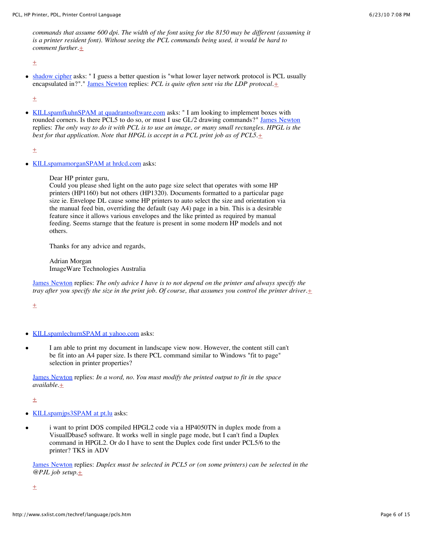*commands that assume 600 dpi. The width of the font using for the 8150 may be different (assuming it is a printer resident font). Without seeing the PCL commands being used, it would be hard to comment further.* $+$ 

 $\pm$ 

• [shadow](mailto:KILLspamshadow.cipherSPAM%20at%20gmail.com) cipher asks: " I guess a better question is "what lower layer network protocol is PCL usually encapsulated in?"." James [Newton](http://www.sxlist.com/techref/member/JMN-EFP-786/index.htm) replies: *PCL is quite often sent via the LDP protocal.*[+](http://www.sxlist.com/techref/login/default.asp?req=/techref/update.asp%3Fact=reply%26url=/techref/language/pcls.htm%26id=39010.5455555556)

 $\pm$ 

• [KILLspamfkuhnSPAM at quadrantsoftware.com](mailto:KILLspamfkuhnSPAM%20at%20quadrantsoftware.com) asks: " I am looking to implement boxes with rounded corners. Is there PCL5 to do so, or must I use GL/2 drawing commands?" James [Newton](http://www.sxlist.com/techref/member/JMN-EFP-786/index.htm) replies: *The only way to do it with PCL is to use an image, or many small rectangles. HPGL is the best for that application. Note that HPGL is accept in a PCL print job as of PCL5.*[+](http://www.sxlist.com/techref/login/default.asp?req=/techref/update.asp%3Fact=reply%26url=/techref/language/pcls.htm%26id=38953.5257986111)

 $\pm$ 

• [KILLspamamorganSPAM at hrdcd.com](mailto:KILLspamamorganSPAM%20at%20hrdcd.com) asks:

Dear HP printer guru,

Could you please shed light on the auto page size select that operates with some HP printers (HP1160) but not others (HP1320). Documents formatted to a particular page size ie. Envelope DL cause some HP printers to auto select the size and orientation via the manual feed bin, overriding the default (say A4) page in a bin. This is a desirable feature since it allows various envelopes and the like printed as required by manual feeding. Seems starnge that the feature is present in some modern HP models and not others.

Thanks for any advice and regards,

Adrian Morgan ImageWare Technologies Australia

James [Newton](http://www.sxlist.com/techref/member/JMN-EFP-786/index.htm) replies: *The only advice I have is to not depend on the printer and always specify the tray after you specify the size in the print job. Of course, that assumes you control the printer driver.* $\pm$ 

 $\pm$ 

- [KILLspamlechurnSPAM at yahoo.com](mailto:KILLspamlechurnSPAM%20at%20yahoo.com) asks:
- I am able to print my document in landscape view now. However, the content still can't be fit into an A4 paper size. Is there PCL command similar to Windows "fit to page" selection in printer properties?

James [Newton](http://www.sxlist.com/techref/member/JMN-EFP-786/index.htm) replies: *In a word, no. You must modify the printed output to fit in the space available.*[+](http://www.sxlist.com/techref/login/default.asp?req=/techref/update.asp%3Fact=reply%26url=/techref/language/pcls.htm%26id=38884.4228587963)

[+](http://www.sxlist.com/techref/login/default.asp?req=/techref/update.asp%3Fact=reply%26url=/techref/language/pcls.htm%26id=38883.1226388889)

- [KILLspamjps3SPAM at pt.lu](mailto:KILLspamjps3SPAM%20at%20pt.lu) asks:
- i want to print DOS compiled HPGL2 code via a HP4050TN in duplex mode from a VisualDbase5 software. It works well in single page mode, but I can't find a Duplex command in HPGL2. Or do I have to sent the Duplex code first under PCL5/6 to the printer? TKS in ADV

James [Newton](http://www.sxlist.com/techref/member/JMN-EFP-786/index.htm) replies: *Duplex must be selected in PCL5 or (on some printers) can be selected in the @PJL job setup.*[+](http://www.sxlist.com/techref/login/default.asp?req=/techref/update.asp%3Fact=reply%26url=/techref/language/pcls.htm%26id=38880.4343171296)

 $\pm$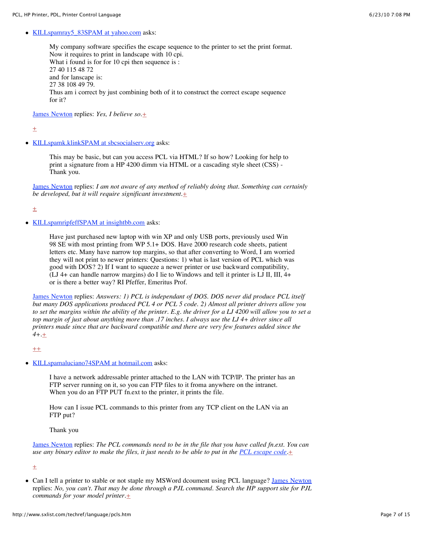#### • KILLspamray5 83SPAM at yahoo.com asks:

My company software specifies the escape sequence to the printer to set the print format. Now it requires to print in landscape with 10 cpi. What i found is for for 10 cpi then sequence is : 27 40 115 48 72 and for lanscape is: 27 38 108 49 79. Thus am i correct by just combining both of it to construct the correct escape sequence for it?

James [Newton](http://www.sxlist.com/techref/member/JMN-EFP-786/index.htm) replies: *Yes, I believe so.*[+](http://www.sxlist.com/techref/login/default.asp?req=/techref/update.asp%3Fact=reply%26url=/techref/language/pcls.htm%26id=38953.5265856481)

 $+$ 

[KILLspamk.klinkSPAM at sbcsocialserv.org](mailto:KILLspamk.klinkSPAM%20at%20sbcsocialserv.org) asks:

This may be basic, but can you access PCL via HTML? If so how? Looking for help to print a signature from a HP 4200 dimm via HTML or a cascading style sheet (CSS) - Thank you.

James [Newton](http://www.sxlist.com/techref/member/JMN-EFP-786/index.htm) replies: *I am not aware of any method of reliably doing that. Something can certainly be developed, but it will require significant investment.* $\pm$ 

 $\pm$ 

• [KILLspamripfeffSPAM at insightbb.com](mailto:KILLspamripfeffSPAM%20at%20insightbb.com) asks:

Have just purchased new laptop with win XP and only USB ports, previously used Win 98 SE with most printing from WP 5.1+ DOS. Have 2000 research code sheets, patient letters etc. Many have narrow top margins, so that after converting to Word, I am worried they will not print to newer printers: Questions: 1) what is last version of PCL which was good with DOS? 2) If I want to squeeze a newer printer or use backward compatibility,  $(LJ 4+$  can handle narrow margins) do I lie to Windows and tell it printer is LJ II, III,  $4+$ or is there a better way? RI Pfeffer, Emeritus Prof.

James [Newton](http://www.sxlist.com/techref/member/JMN-EFP-786/index.htm) replies: *Answers: 1) PCL is independant of DOS. DOS never did produce PCL itself but many DOS applications produced PCL 4 or PCL 5 code. 2) Almost all printer drivers allow you to set the margins within the ability of the printer. E.g. the driver for a LJ 4200 will allow you to set a top margin of just about anything more than .17 inches. I always use the LJ 4+ driver since all printers made since that are backward compatible and there are very few features added since the 4+.*[+](http://www.sxlist.com/techref/login/default.asp?req=/techref/update.asp%3Fact=reply%26url=/techref/language/pcls.htm%26id=38721.6260763889)

 $++$  $++$ 

[KILLspamaluciano74SPAM at hotmail.com](mailto:KILLspamaluciano74SPAM%20at%20hotmail.com) asks:

I have a network addressable printer attached to the LAN with TCP/IP. The printer has an FTP server running on it, so you can FTP files to it froma anywhere on the intranet. When you do an FTP PUT fn.ext to the printer, it prints the file.

How can I issue PCL commands to this printer from any TCP client on the LAN via an FTP put?

Thank you

James [Newton](http://www.sxlist.com/techref/member/JMN-EFP-786/index.htm) replies: *The PCL commands need to be in the file that you have called fn.ext. You can use any binary editor to make the files, it just needs to be able to put in the [PCL escape](http://www.sxlist.com/techref/language/pcl/escchr.htm) code.* $\pm$ 

 $\pm$ 

• Can I tell a printer to stable or not staple my MSWord dcoument using PCL language? James [Newton](http://www.sxlist.com/techref/member/JMN-EFP-786/index.htm) replies: *No, you can't. That may be done through a PJL command. Search the HP support site for PJL commands for your model printer.* $\pm$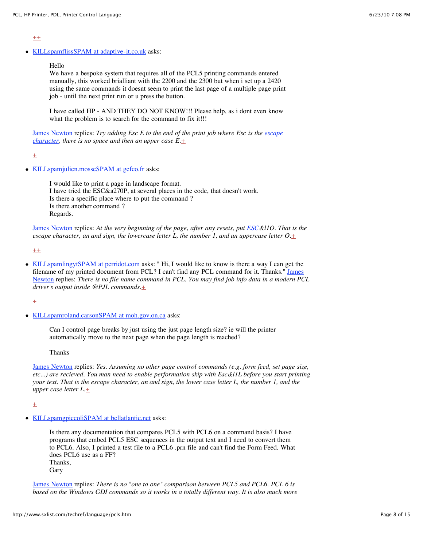$#$ 

• [KILLspamflissSPAM at adaptive-it.co.uk](mailto:KILLspamflissSPAM%20at%20adaptive-it.co.uk) asks:

Hello

We have a bespoke system that requires all of the PCL5 printing commands entered manually, this worked brialliant with the 2200 and the 2300 but when i set up a 2420 using the same commands it doesnt seem to print the last page of a multiple page print job - until the next print run or u press the button.

I have called HP - AND THEY DO NOT KNOW!!! Please help, as i dont even know what the problem is to search for the command to fix it!!!

James [Newton](http://www.sxlist.com/techref/member/JMN-EFP-786/index.htm) replies: *[Try adding Esc E to the end of the print job where](http://www.sxlist.com/techref/language/pcl/escchr.htm) Esc is the escape character, there is no space and then an upper case E.*[+](http://www.sxlist.com/techref/login/default.asp?req=/techref/update.asp%3Fact=reply%26url=/techref/language/pcls.htm%26id=38548.4687962963)

 $\pm$ 

• [KILLspamjulien.mosseSPAM at gefco.fr](mailto:KILLspamjulien.mosseSPAM%20at%20gefco.fr) asks:

I would like to print a page in landscape format. I have tried the ESC&a270P, at several places in the code, that doesn't work. Is there a specific place where to put the command ? Is there another command ? Regards.

James [Newton](http://www.sxlist.com/techref/member/JMN-EFP-786/index.htm) replies: *At the very beginning of the page, after any resets, put [ESC](http://www.sxlist.com/techref/language/pcl/escchr.htm)&l1O. That is the escape character, an and sign, the lowercase letter L, the number 1, and an uppercase letter*  $O_{\pm}$ 

 $++$  $++$ 

[KILLspamlingytSPAM at perridot.com](mailto:KILLspamlingytSPAM%20at%20perridot.com) asks: " Hi, I would like to know is there a way I can get the [filename of my printed document from PCL? I can't find](http://www.sxlist.com/techref/member/JMN-EFP-786/index.htm) any PCL command for it. Thanks." James Newton replies: *There is no file name command in PCL. You may find job info data in a modern PCL driver's output inside @PJL commands.*[+](http://www.sxlist.com/techref/login/default.asp?req=/techref/update.asp%3Fact=reply%26url=/techref/language/pcls.htm%26id=38502.3552662037)

 $\pm$ 

[KILLspamroland.carsonSPAM at moh.gov.on.ca](mailto:KILLspamroland.carsonSPAM%20at%20moh.gov.on.ca) asks:

Can I control page breaks by just using the just page length size? ie will the printer automatically move to the next page when the page length is reached?

Thanks

James [Newton](http://www.sxlist.com/techref/member/JMN-EFP-786/index.htm) replies: *Yes. Assuming no other page control commands (e.g. form feed, set page size, etc...) are recieved. You man need to enable performation skip with Esc&l1L before you start printing your text. That is the escape character, an and sign, the lower case letter L, the number 1, and the upper case letter L.*[+](http://www.sxlist.com/techref/login/default.asp?req=/techref/update.asp%3Fact=reply%26url=/techref/language/pcls.htm%26id=38469.9198726852)

 $+$ 

• [KILLspamgpiccoliSPAM at bellatlantic.net](mailto:KILLspamgpiccoliSPAM%20at%20bellatlantic.net) asks:

Is there any documentation that compares PCL5 with PCL6 on a command basis? I have programs that embed PCL5 ESC sequences in the output text and I need to convert them to PCL6. Also, I printed a test file to a PCL6 .prn file and can't find the Form Feed. What does PCL6 use as a FF? Thanks, Gary

James [Newton](http://www.sxlist.com/techref/member/JMN-EFP-786/index.htm) replies: *There is no "one to one" comparison between PCL5 and PCL6. PCL 6 is based on the Windows GDI commands so it works in a totally different way. It is also much more*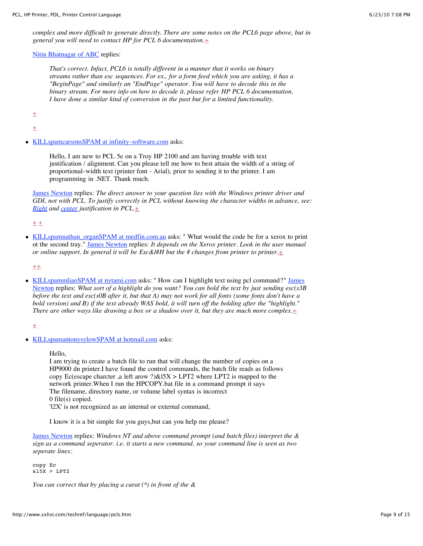*complex and more difficult to generate directly. There are some notes on the PCL6 page above, but in general you will need to contact HP for PCL 6 documentation.*[+](http://www.sxlist.com/techref/login/default.asp?req=/techref/update.asp%3Fact=reply%26url=/techref/language/pcls.htm%26id=38438.4018402778)

Nitin [Bhatnagar of ABC](http://www.sxlist.com/techref/member/NB-AAA-984/index.htm) replies:

*That's correct. Infact, PCL6 is totally different in a manner that it works on binary streams rather than esc sequences. For ex., for a form feed which you are asking, it has a "BeginPage" and similarly an "EndPage" operator. You will have to decode this in the binary stream. For more info on how to decode it, please refer HP PCL 6 documentation. I have done a similar kind of conversion in the past but for a limited functionality.*

 $\pm$ 

 $\pm$ 

• [KILLspamcarsonsSPAM at infinity-software.com](mailto:KILLspamcarsonsSPAM%20at%20infinity-software.com) asks:

Hello, I am new to PCL 5e on a Troy HP 2100 and am having trouble with text justification / alignment. Can you please tell me how to best attain the width of a string of proportional-width text (printer font - Arial), prior to sending it to the printer. I am programming in .NET. Thank much.

James [Newton](http://www.sxlist.com/techref/member/JMN-EFP-786/index.htm) replies: *The direct answer to your question lies with the Windows printer driver and GDI, not with PCL. To justify correctly in PCL without knowing the character widths in advance, see: [Right](http://www.sxlist.com/techref/language/pcl/justright.htm) and [center](http://www.sxlist.com/techref/language/pcl/justcentered.htm) justification in PCL.*[+](http://www.sxlist.com/techref/login/default.asp?req=/techref/update.asp%3Fact=reply%26url=/techref/language/pcls.htm%26id=38425.7114236111)

 $+ +$  $+ +$ 

• [KILLspamnathan\\_organSPAM at medfin.com.au](mailto:KILLspamnathan_organSPAM%20at%20medfin.com.au) asks: " What would the code be for a xerox to print ot the second tray." James [Newton](http://www.sxlist.com/techref/member/JMN-EFP-786/index.htm) replies: *It depends on the Xerox printer. Look in the user manual or online support. In general it will be Esc&l#H but the # changes from printer to printer.*[+](http://www.sxlist.com/techref/login/default.asp?req=/techref/update.asp%3Fact=reply%26url=/techref/language/pcls.htm%26id=38300.7257175926)

 $^{++}$  $^{++}$  $^{++}$ 

• [KILLspammliaoSPAM at nytami.com](mailto:KILLspammliaoSPAM%20at%20nytami.com) asks: " How can I highlight text using pcl command?" James Newton replies: *[What sort of a highlight do you want? You can bold](http://www.sxlist.com/techref/member/JMN-EFP-786/index.htm) the text by just sending esc(s3B before the text and esc(s0B after it, but that A) may not work for all fonts (some fonts don't have a bold version) and B) if the text already WAS bold, it will turn off the bolding after the "highlight." There are other ways like drawing a box or a shadow over it, but they are much more complex.* $\pm$ 

 $\pm$ 

• [KILLspamantonysylowSPAM at hotmail.com](mailto:KILLspamantonysylowSPAM%20at%20hotmail.com) asks:

Hello,

I am trying to create a batch file to run that will change the number of copies on a HP9000 dn printer.I have found the control commands, the batch file reads as follows copy Ec(escape charcter ,a left arow ?) $&15X > LPT2$  where LPT2 is mapped to the network printer.When I run the HPCOPY.bat file in a command prompt it says The filename, directory name, or volume label syntax is incorrect 0 file(s) copied.

'l2X' is not recognized as an internal or external command,

I know it is a bit simple for you guys,but can you help me please?

James [Newton](http://www.sxlist.com/techref/member/JMN-EFP-786/index.htm) replies: *Windows NT and above command prompt (and batch files) interpret the & sign as a command seperator. i.e. it starts a new command. so your command line is seen as two seperate lines:*

copy Ec &l5X > LPT2

*You can correct that by placing a carat (^) in front of the &*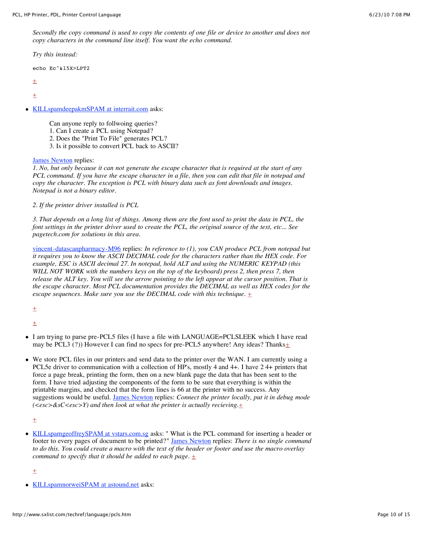*Secondly the copy command is used to copy the contents of one file or device to another and does not copy characters in the command line itself. You want the echo command.*

*Try this instead:*

echo Ec^&l5X>LPT2

 $\pm$ 

 $+$ 

[KILLspamdeepakmSPAM at interrait.com](mailto:KILLspamdeepakmSPAM%20at%20interrait.com) asks:

Can anyone reply to follwoing queries?

- 1. Can I create a PCL using Notepad?
- 2. Does the "Print To File" generates PCL?
- 3. Is it possible to convert PCL back to ASCII?

James [Newton](http://www.sxlist.com/techref/member/JMN-EFP-786/index.htm) replies:

*1. No, but only because it can not generate the escape character that is required at the start of any PCL command. If you have the escape character in a file, then you can edit that file in notepad and copy the character. The exception is PCL with binary data such as font downloads and images. Notepad is not a binary editor.*

*2. If the printer driver installed is PCL*

*3. That depends on a long list of things. Among them are the font used to print the data in PCL, the font settings in the printer driver used to create the PCL, the original source of the text, etc... See pagetech.com for solutions in this area.*

[vincent-datascanpharmacy-M96](http://www.sxlist.com/techref/member/vincent-datascanpharmacy-M96/index.htm) replies: *In reference to (1), you CAN produce PCL from notepad but it requires you to know the ASCII DECIMAL code for the characters rather than the HEX code. For example, ESC is ASCII decimal 27. In notepad, hold ALT and using the NUMERIC KEYPAD (this WILL NOT WORK with the numbers keys on the top of the keyboard) press 2, then press 7, then release the ALT key. You will see the arrow pointing to the left appear at the cursor position. That is the escape character. Most PCL documentation provides the DECIMAL as well as HEX codes for the escape sequences. Make sure you use the DECIMAL code with this technique.*  $\pm$ 

 $\pm$ 

[+](http://www.sxlist.com/techref/login/default.asp?req=/techref/update.asp%3Fact=reply%26url=/techref/language/pcls.htm%26id=38163.1699768519)

- I am trying to parse pre-PCL5 files (I have a file with LANGUAGE=PCLSLEEK which I have read may be PCL3 (?)) However I can find no specs for pre-PCL5 anywhere! Any ideas? Thanks $\pm$
- We store PCL files in our printers and send data to the printer over the WAN. I am currently using a PCL5e driver to communication with a collection of HP's, mostly 4 and 4+. I have 24+ printers that force a page break, printing the form, then on a new blank page the data that has been sent to the form. I have tried adjusting the components of the form to be sure that everything is within the printable margins, and checked that the form lines is 66 at the printer with no success. Any suggestions would be useful. James [Newton](http://www.sxlist.com/techref/member/JMN-EFP-786/index.htm) replies: *Connect the printer locally, put it in debug mode (<esc>&sC<esc>Y) and then look at what the printer is actually recieving.*[+](http://www.sxlist.com/techref/login/default.asp?req=/techref/update.asp%3Fact=reply%26url=/techref/language/pcls.htm%26id=38141.7523726852)

 $\pm$ 

• [KILLspamgeoffreySPAM at vstars.com.sg](mailto:KILLspamgeoffreySPAM%20at%20vstars.com.sg) asks: " What is the PCL command for inserting a header or footer to every pages of document to be printed?" James [Newton](http://www.sxlist.com/techref/member/JMN-EFP-786/index.htm) replies: *There is no single command to do this. You could create a macro with the text of the header or footer and use the macro overlay command to specify that it should be added to each page.* [+](http://www.sxlist.com/techref/login/default.asp?req=/techref/update.asp%3Fact=reply%26url=/techref/language/pcls.htm%26id=38082.6329976852)

 $\pm$ 

[KILLspamnorweiSPAM at astound.net](mailto:KILLspamnorweiSPAM%20at%20astound.net) asks: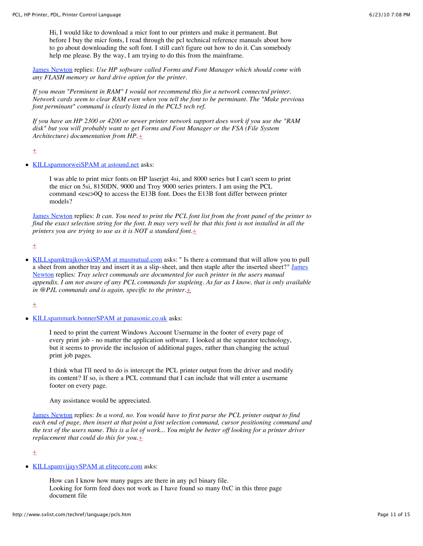Hi, I would like to download a micr font to our printers and make it permanent. But before I buy the micr fonts, I read through the pcl technical reference manuals about how to go about downloading the soft font. I still can't figure out how to do it. Can somebody help me please. By the way, I am trying to do this from the mainframe.

James [Newton](http://www.sxlist.com/techref/member/JMN-EFP-786/index.htm) replies: *Use HP software called Forms and Font Manager which should come with any FLASH memory or hard drive option for the printer.*

*If you mean "Perminent in RAM" I would not recommend this for a network connected printer. Network cards seem to clear RAM even when you tell the font to be perminant. The "Make previous font perminant" command is clearly listed in the PCL5 tech ref.*

*If you have an HP 2300 or 4200 or newer printer network support does work if you use the "RAM disk" but you will probably want to get Forms and Font Manager or the FSA (File System Architecture) documentation from HP.[+](http://www.sxlist.com/techref/login/default.asp?req=/techref/update.asp%3Fact=reply%26url=/techref/language/pcls.htm%26id=38067.7749884259)*

 $\pm$ 

• [KILLspamnorweiSPAM at astound.net](mailto:KILLspamnorweiSPAM%20at%20astound.net) asks:

I was able to print micr fonts on HP laserjet 4si, and 8000 series but I can't seem to print the micr on 5si, 8150DN, 9000 and Troy 9000 series printers. I am using the PCL command <esc>0Q to access the E13B font. Does the E13B font differ between printer models?

James [Newton](http://www.sxlist.com/techref/member/JMN-EFP-786/index.htm) replies: *It can. You need to print the PCL font list from the front panel of the printer to find the exact selection string for the font. It may very well be that this font is not installed in all the printers you are trying to use as it is NOT a standard font.* $\pm$ 

 $+$ 

[KILLspamktrajkovskiSPAM at masmutual.com](mailto:KILLspamktrajkovskiSPAM%20at%20masmutual.com) asks: " Is there a command that will allow you to pull a sheet from another tray and insert it as a slip-sheet, and then staple after the inserted sheet?" James Newton replies: *[Tray select commands are documented for each printer in the users manual](http://www.sxlist.com/techref/member/JMN-EFP-786/index.htm) appendix. I am not aware of any PCL commands for stapleing. As far as I know, that is only available in @PJL commands and is again, specific to the printer.* $\pm$ 

 $\pm$ 

[KILLspammark.bonnerSPAM at panasonic.co.uk](mailto:KILLspammark.bonnerSPAM%20at%20panasonic.co.uk) asks:

I need to print the current Windows Account Username in the footer of every page of every print job - no matter the application software. I looked at the separator technology, but it seems to provide the inclusion of additional pages, rather than changing the actual print job pages.

I think what I'll need to do is intercept the PCL printer output from the driver and modify its content? If so, is there a PCL command that I can include that will enter a username footer on every page.

Any assistance would be appreciated.

[James Newton](http://www.sxlist.com/techref/member/JMN-EFP-786/index.htm) replies: *In a word, no. You would have to first parse the PCL printer output to find each end of page, then insert at that point a font selection command, cursor positioning command and the text of the users name. This is a lot of work... You might be better off looking for a printer driver replacement that could do this for you.* $\pm$ 

 $\pm$ 

• [KILLspamvijayvSPAM at elitecore.com](mailto:KILLspamvijayvSPAM%20at%20elitecore.com) asks:

How can I know how many pages are there in any pcl binary file. Looking for form feed does not work as I have found so many 0xC in this three page document file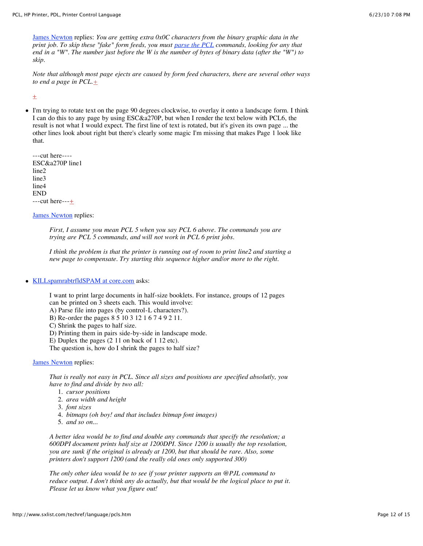[James Newton](http://www.sxlist.com/techref/member/JMN-EFP-786/index.htm) replies: *You are getting extra 0x0C characters from the binary graphic data in the print job. To skip these "fake" form feeds, you must [parse the PCL](http://www.sxlist.com/techref/language/pcl/parse.htm) commands, looking for any that end in a "W". The number just before the W is the number of bytes of binary data (after the "W") to skip.*

*Note that although most page ejects are caused by form feed characters, there are several other ways to end a page in PCL.[+](http://www.sxlist.com/techref/login/default.asp?req=/techref/update.asp%3Fact=reply%26url=/techref/language/pcls.htm%26id=37958.6271296296)*

 $+$ 

I'm trying to rotate text on the page 90 degrees clockwise, to overlay it onto a landscape form. I think I can do this to any page by using ESC&a270P, but when I render the text below with PCL6, the result is not what I would expect. The first line of text is rotated, but it's given its own page ... the other lines look about right but there's clearly some magic I'm missing that makes Page 1 look like that.

---cut here---- ESC&a270P line1 line2 line3 line4 END  $--cut here--+$  $--cut here--+$ 

[James Newton](http://www.sxlist.com/techref/member/JMN-EFP-786/index.htm) replies:

*First, I assume you mean PCL 5 when you say PCL 6 above. The commands you are trying are PCL 5 commands, and will not work in PCL 6 print jobs.*

*I think the problem is that the printer is running out of room to print line2 and starting a new page to compensate. Try starting this sequence higher and/or more to the right.*

#### • [KILLspamrabtrfldSPAM at core.com](mailto:KILLspamrabtrfldSPAM%20at%20core.com) asks:

I want to print large documents in half-size booklets. For instance, groups of 12 pages can be printed on 3 sheets each. This would involve:

A) Parse file into pages (by control-L characters?).

B) Re-order the pages 8 5 10 3 12 1 6 7 4 9 2 11.

C) Shrink the pages to half size.

D) Printing them in pairs side-by-side in landscape mode.

E) Duplex the pages (2 11 on back of 1 12 etc).

The question is, how do I shrink the pages to half size?

#### [James Newton](http://www.sxlist.com/techref/member/JMN-EFP-786/index.htm) replies:

*That is really not easy in PCL. Since all sizes and positions are specified absolutly, you have to find and divide by two all:*

- 1. *cursor positions*
- 2. *area width and height*
- 3. *font sizes*
- 4. *bitmaps (oh boy! and that includes bitmap font images)*
- 5. *and so on...*

*A better idea would be to find and double any commands that specify the resolution; a 600DPI document prints half size at 1200DPI. Since 1200 is usually the top resolution, you are sunk if the original is already at 1200, but that should be rare. Also, some printers don't support 1200 (and the really old ones only supported 300)*

*The only other idea would be to see if your printer supports an @PJL command to reduce output. I don't think any do actually, but that would be the logical place to put it. Please let us know what you figure out!*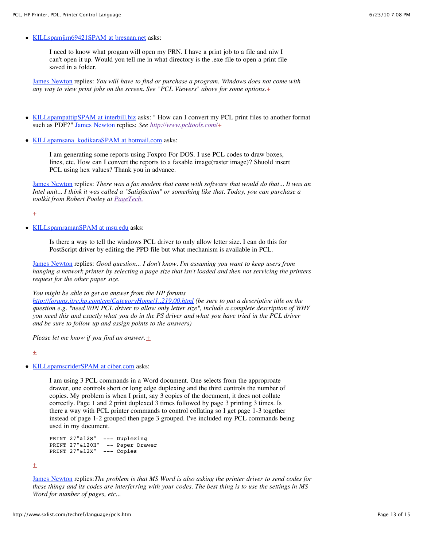• [KILLspamjim69421SPAM at bresnan.net](mailto:KILLspamjim69421SPAM%20at%20bresnan.net) asks:

I need to know what progam will open my PRN. I have a print job to a file and niw I can't open it up. Would you tell me in what directory is the .exe file to open a print file saved in a folder.

[James Newton](http://www.sxlist.com/techref/member/JMN-EFP-786/index.htm) replies: *You will have to find or purchase a program. Windows does not come with any way to view print jobs on the screen. See "PCL Viewers" above for some options.*[+](http://www.sxlist.com/techref/login/default.asp?req=/techref/update.asp%3Fact=reply%26url=/techref/language/pcls.htm%26id=37849.0062037037)

- [KILLspampattipSPAM at interbill.biz](mailto:KILLspampattipSPAM%20at%20interbill.biz) asks: " How can I convert my PCL print files to another format such as PDF?" [James Newton](http://www.sxlist.com/techref/member/JMN-EFP-786/index.htm) replies: *See <http://www.pcltools.com/>*[+](http://www.sxlist.com/techref/login/default.asp?req=/techref/update.asp%3Fact=reply%26url=/techref/language/pcls.htm%26id=37741.3239930556)
- KILLspamsana kodikaraSPAM at hotmail.com asks:

I am generating some reports using Foxpro For DOS. I use PCL codes to draw boxes, lines, etc. How can I convert the reports to a faxable image(raster image)? Shuold insert PCL using hex values? Thank you in advance.

[James Newton](http://www.sxlist.com/techref/member/JMN-EFP-786/index.htm) replies: *There was a fax modem that came with software that would do that... It was an Intel unit... I think it was called a "Satisfaction" or something like that. Today, you can purchase a toolkit from Robert Pooley at [PageTech.](http://www.pcltools.com/)*

 $\pm$ 

 $\bullet$ [KILLspamramanSPAM at msu.edu](mailto:KILLspamramanSPAM%20at%20msu.edu) asks:

> Is there a way to tell the windows PCL driver to only allow letter size. I can do this for PostScript driver by editing the PPD file but what mechanism is available in PCL.

[James Newton](http://www.sxlist.com/techref/member/JMN-EFP-786/index.htm) replies: *Good question... I don't know. I'm assuming you want to keep users from hanging a network printer by selecting a page size that isn't loaded and then not servicing the printers request for the other paper size.*

*You might be able to get an answer from the HP forums*

*<http://forums.itrc.hp.com/cm/CategoryHome/1,,219,00.html> (be sure to put a descriptive title on the question e.g. "need WIN PCL driver to allow only letter size", include a complete description of WHY you need this and exactly what you do in the PS driver and what you have tried in the PCL driver and be sure to follow up and assign points to the answers)*

*Please let me know if you find an answer.[+](http://www.sxlist.com/techref/login/default.asp?req=/techref/update.asp%3Fact=reply%26url=/techref/language/pcls.htm%26id=37659.4630092593)*

 $\pm$ 

• [KILLspamscriderSPAM at ciber.com](mailto:KILLspamscriderSPAM%20at%20ciber.com) asks:

I am using 3 PCL commands in a Word document. One selects from the approproate drawer, one controls short or long edge duplexing and the third controls the number of copies. My problem is when I print, say 3 copies of the document, it does not collate correctly. Page 1 and 2 print duplexed 3 times followed by page 3 printing 3 times. Is there a way with PCL printer commands to control collating so I get page 1-3 together instead of page 1-2 grouped then page 3 grouped. I've included my PCL commands being used in my document.

```
PRINT 27"&l2S" --- Duplexing
PRINT 27"&l20H" -- Paper Drawer
PRINT 27"&l2X" --- Copies
```
 $\pm$ 

[James Newton](http://www.sxlist.com/techref/member/JMN-EFP-786/index.htm) replies:*The problem is that MS Word is also asking the printer driver to send codes for these things and its codes are interferring with your codes. The best thing is to use the settings in MS Word for number of pages, etc...*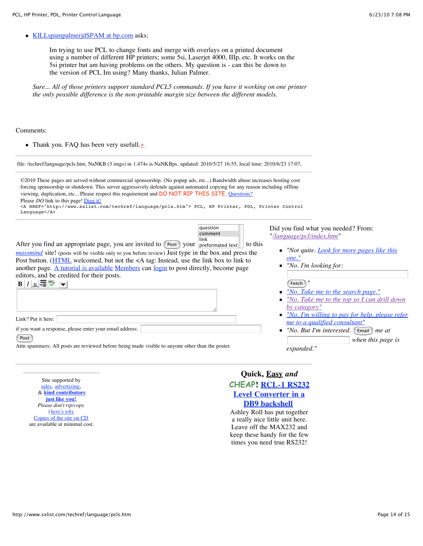• [KILLspampalmerjdSPAM at bp.com](mailto:KILLspampalmerjdSPAM%20at%20bp.com) asks:

Im trying to use PCL to change fonts and merge with overlays on a printed document using a number of different HP printers; some 5si, Laserjet 4000, IIIp, etc. It works on the 5si printer but am having problems on the others. My question is - can this be down to the version of PCL Im using? Many thanks, Julian Palmer.

*Sure... All of those printers support standard PCL5 commands. If you have it working on one printer the only possible difference is the non-printable margin size between the different models.*

#### Comments:

• Thank you. FAQ has been very usefull. $\pm$ 

| file: /techref/language/pcls.htm, NaNKB (3 imgs) in 1.474s is NaNKBps, updated: 2010/5/27 16:55, local time: 2010/6/23 17:07,                                                                                                                                                                                                                                                                                                                                                                                                                                                          |                                                                                                                                                                                                                                                                |
|----------------------------------------------------------------------------------------------------------------------------------------------------------------------------------------------------------------------------------------------------------------------------------------------------------------------------------------------------------------------------------------------------------------------------------------------------------------------------------------------------------------------------------------------------------------------------------------|----------------------------------------------------------------------------------------------------------------------------------------------------------------------------------------------------------------------------------------------------------------|
| ©2010 These pages are served without commercial sponsorship. (No popup ads, etc).Bandwidth abuse increases hosting cost<br>forcing sponsorship or shutdown. This server aggressively defends against automated copying for any reason including offline<br>viewing, duplication, etc Please respect this requirement and DO NOT RIP THIS SITE. Questions?<br>Please DO link to this page! Digg it!<br><a href="http://www.sxlist.com/techref/lanquage/pcls.htm"> PCL, HP Printer, PDL, Printer Control<br/>Language</a>                                                                |                                                                                                                                                                                                                                                                |
| question<br>comment<br>link<br>After you find an appropriate page, you are invited to [Post ] your preformated text<br>to this<br><i>massmind</i> site! (posts will be visible only to you before review) Just type in the box and press the<br>Post button. (HTML welcomed, but not the <a box="" instead,="" link="" tag:="" the="" to="" to<br="" use="">another page. A tutorial is available Members can login to post directly, become page<br/>editors, and be credited for their posts.<br/><math>B/I _U</math> <math>\equiv</math> <math>\approx</math> <math>\sim</math></a> | Did you find what you needed? From:<br>"/language/pcl/index.htm"<br>• "Not quite. Look for more pages like this<br>one."<br>"No. I'm looking for:<br>Fetch<br>"No. Take me to the search page."<br>"No. Take me to the top so I can drill down<br>by catagory" |
| Link? Put it here:                                                                                                                                                                                                                                                                                                                                                                                                                                                                                                                                                                     | "No. I'm willing to pay for help, please refer<br>me to a qualified consultant"                                                                                                                                                                                |
| if you want a response, please enter your email address:<br>Post<br>Attn spammers: All posts are reviewed before being made visible to anyone other than the poster.                                                                                                                                                                                                                                                                                                                                                                                                                   | "No. But I'm interested. [Email ] me at<br>$\bullet$<br>when this page is<br>expanded."                                                                                                                                                                        |

Site supported by [sales](http://www.sxlist.com/techref/auction.asp), [advertizing,](mailto:james@sxlist.com&subject=SXLIST_ADVERTIZING) & **kind [contributors](http://www.sxlist.com/techref/scenix/support.htm) just like you!** *Please don't rip/copy [\(here's](http://www.sxlist.com/dontripthissite.htm) why* [Copies](http://www.sxlist.com/dontripthissite.htm#copies) of the site on CD are available at minimal cost.

# **Quick, Easy** *and* **CHEAP! RCL-1 RS232 Level [Converter](http://www.sxlist.com/techref/io/serial/RCL1.htm) in a DB9 backshell**

Ashley Roll has put together a really nice little unit here. Leave off the MAX232 and keep these handy for the few times you need true RS232!